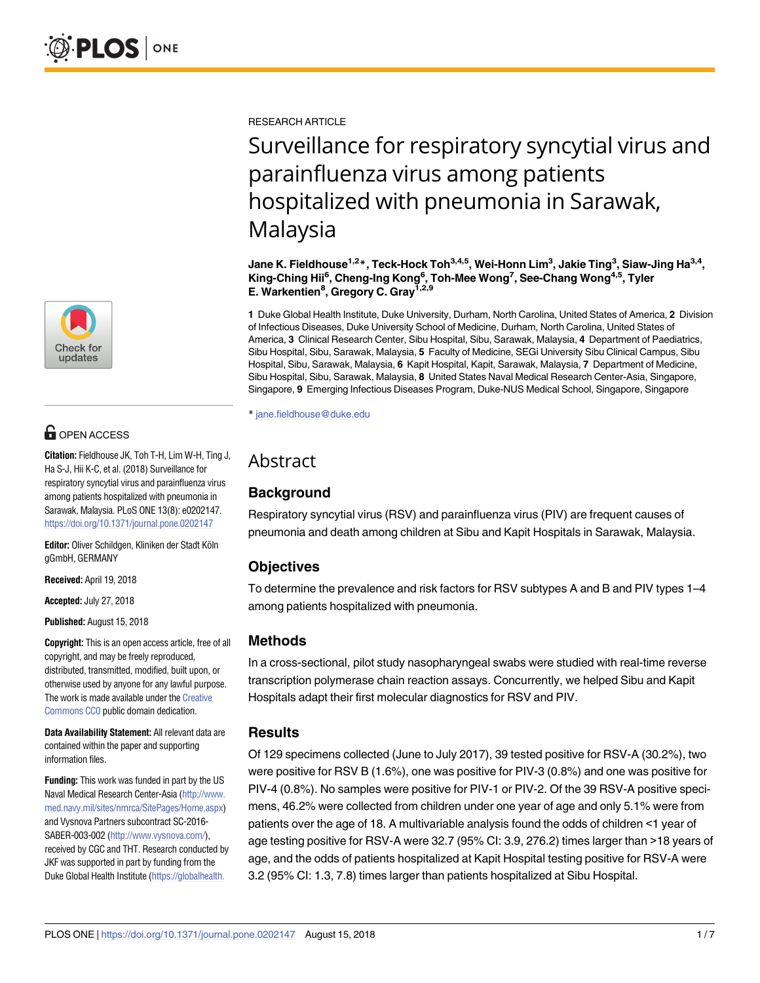

## **OPEN ACCESS**

**Citation:** Fieldhouse JK, Toh T-H, Lim W-H, Ting J, Ha S-J, Hii K-C, et al. (2018) Surveillance for respiratory syncytial virus and parainfluenza virus among patients hospitalized with pneumonia in Sarawak, Malaysia. PLoS ONE 13(8): e0202147. <https://doi.org/10.1371/journal.pone.0202147>

Editor: Oliver Schildgen, Kliniken der Stadt Köln gGmbH, GERMANY

**Received:** April 19, 2018

**Accepted:** July 27, 2018

**Published:** August 15, 2018

**Copyright:** This is an open access article, free of all copyright, and may be freely reproduced, distributed, transmitted, modified, built upon, or otherwise used by anyone for any lawful purpose. The work is made available under the [Creative](https://creativecommons.org/publicdomain/zero/1.0/) [Commons](https://creativecommons.org/publicdomain/zero/1.0/) CC0 public domain dedication.

**Data Availability Statement:** All relevant data are contained within the paper and supporting information files.

**Funding:** This work was funded in part by the US Naval Medical Research Center-Asia [\(http://www.](http://www.med.navy.mil/sites/nmrca/SitePages/Home.aspx) [med.navy.mil/sites/nmrca/SitePages/Home.aspx\)](http://www.med.navy.mil/sites/nmrca/SitePages/Home.aspx) and Vysnova Partners subcontract SC-2016- SABER-003-002 [\(http://www.vysnova.com/](http://www.vysnova.com/)), received by CGC and THT. Research conducted by JKF was supported in part by funding from the Duke Global Health Institute [\(https://globalhealth.](https://globalhealth.duke.edu/)

RESEARCH ARTICLE

# Surveillance for respiratory syncytial virus and parainfluenza virus among patients hospitalized with pneumonia in Sarawak, Malaysia

**Jane K. Fieldhouse1,2\*, Teck-Hock Toh3,4,5, Wei-Honn Lim3 , Jakie Ting<sup>3</sup> , Siaw-Jing Ha3,4, King-Ching Hii6 , Cheng-Ing Kong6 , Toh-Mee Wong7 , See-Chang Wong4,5, Tyler E. Warkentien8 , Gregory C. Gray1,2,9**

**1** Duke Global Health Institute, Duke University, Durham, North Carolina, United States of America, **2** Division of Infectious Diseases, Duke University School of Medicine, Durham, North Carolina, United States of America, **3** Clinical Research Center, Sibu Hospital, Sibu, Sarawak, Malaysia, **4** Department of Paediatrics, Sibu Hospital, Sibu, Sarawak, Malaysia, **5** Faculty of Medicine, SEGi University Sibu Clinical Campus, Sibu Hospital, Sibu, Sarawak, Malaysia, **6** Kapit Hospital, Kapit, Sarawak, Malaysia, **7** Department of Medicine, Sibu Hospital, Sibu, Sarawak, Malaysia, **8** United States Naval Medical Research Center-Asia, Singapore, Singapore, **9** Emerging Infectious Diseases Program, Duke-NUS Medical School, Singapore, Singapore

\* jane.fieldhouse@duke.edu

## Abstract

### **Background**

Respiratory syncytial virus (RSV) and parainfluenza virus (PIV) are frequent causes of pneumonia and death among children at Sibu and Kapit Hospitals in Sarawak, Malaysia.

#### **Objectives**

To determine the prevalence and risk factors for RSV subtypes A and B and PIV types 1–4 among patients hospitalized with pneumonia.

#### **Methods**

In a cross-sectional, pilot study nasopharyngeal swabs were studied with real-time reverse transcription polymerase chain reaction assays. Concurrently, we helped Sibu and Kapit Hospitals adapt their first molecular diagnostics for RSV and PIV.

#### **Results**

Of 129 specimens collected (June to July 2017), 39 tested positive for RSV-A (30.2%), two were positive for RSV B (1.6%), one was positive for PIV-3 (0.8%) and one was positive for PIV-4 (0.8%). No samples were positive for PIV-1 or PIV-2. Of the 39 RSV-A positive specimens, 46.2% were collected from children under one year of age and only 5.1% were from patients over the age of 18. A multivariable analysis found the odds of children <1 year of age testing positive for RSV-A were 32.7 (95% CI: 3.9, 276.2) times larger than >18 years of age, and the odds of patients hospitalized at Kapit Hospital testing positive for RSV-A were 3.2 (95% CI: 1.3, 7.8) times larger than patients hospitalized at Sibu Hospital.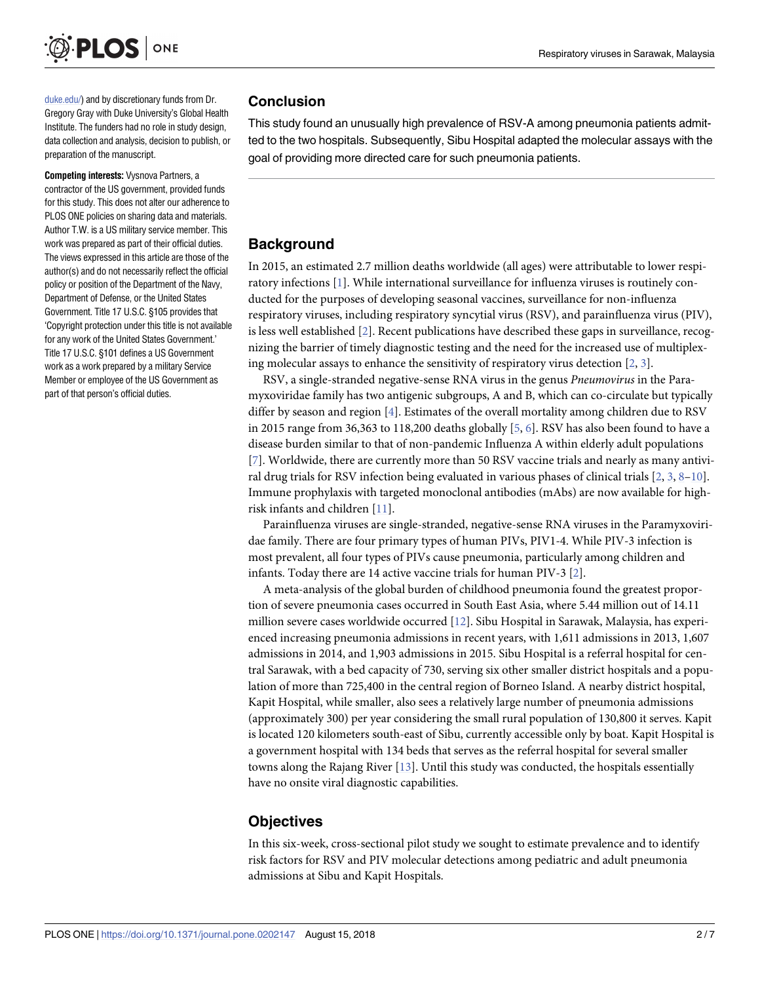<span id="page-1-0"></span>

[duke.edu/](https://globalhealth.duke.edu/)) and by discretionary funds from Dr. Gregory Gray with Duke University's Global Health Institute. The funders had no role in study design, data collection and analysis, decision to publish, or preparation of the manuscript.

**Competing interests:** Vysnova Partners, a contractor of the US government, provided funds for this study. This does not alter our adherence to PLOS ONE policies on sharing data and materials. Author T.W. is a US military service member. This work was prepared as part of their official duties. The views expressed in this article are those of the author(s) and do not necessarily reflect the official policy or position of the Department of the Navy, Department of Defense, or the United States Government. Title 17 U.S.C. §105 provides that 'Copyright protection under this title is not available for any work of the United States Government.' Title 17 U.S.C. §101 defines a US Government work as a work prepared by a military Service Member or employee of the US Government as part of that person's official duties.

#### **Conclusion**

This study found an unusually high prevalence of RSV-A among pneumonia patients admitted to the two hospitals. Subsequently, Sibu Hospital adapted the molecular assays with the goal of providing more directed care for such pneumonia patients.

### **Background**

In 2015, an estimated 2.7 million deaths worldwide (all ages) were attributable to lower respiratory infections [[1](#page-5-0)]. While international surveillance for influenza viruses is routinely conducted for the purposes of developing seasonal vaccines, surveillance for non-influenza respiratory viruses, including respiratory syncytial virus (RSV), and parainfluenza virus (PIV), is less well established [[2\]](#page-5-0). Recent publications have described these gaps in surveillance, recognizing the barrier of timely diagnostic testing and the need for the increased use of multiplexing molecular assays to enhance the sensitivity of respiratory virus detection  $[2, 3]$  $[2, 3]$  $[2, 3]$ .

RSV, a single-stranded negative-sense RNA virus in the genus *Pneumovirus* in the Paramyxoviridae family has two antigenic subgroups, A and B, which can co-circulate but typically differ by season and region [[4\]](#page-5-0). Estimates of the overall mortality among children due to RSV in 2015 range from 36,363 to 118,200 deaths globally [\[5](#page-5-0), [6](#page-5-0)]. RSV has also been found to have a disease burden similar to that of non-pandemic Influenza A within elderly adult populations [\[7](#page-5-0)]. Worldwide, there are currently more than 50 RSV vaccine trials and nearly as many antiviral drug trials for RSV infection being evaluated in various phases of clinical trials [\[2](#page-5-0), [3](#page-5-0), [8–10](#page-5-0)]. Immune prophylaxis with targeted monoclonal antibodies (mAbs) are now available for highrisk infants and children [\[11\]](#page-5-0).

Parainfluenza viruses are single-stranded, negative-sense RNA viruses in the Paramyxoviridae family. There are four primary types of human PIVs, PIV1-4. While PIV-3 infection is most prevalent, all four types of PIVs cause pneumonia, particularly among children and infants. Today there are 14 active vaccine trials for human PIV-3 [[2\]](#page-5-0).

A meta-analysis of the global burden of childhood pneumonia found the greatest proportion of severe pneumonia cases occurred in South East Asia, where 5.44 million out of 14.11 million severe cases worldwide occurred [\[12\]](#page-5-0). Sibu Hospital in Sarawak, Malaysia, has experienced increasing pneumonia admissions in recent years, with 1,611 admissions in 2013, 1,607 admissions in 2014, and 1,903 admissions in 2015. Sibu Hospital is a referral hospital for central Sarawak, with a bed capacity of 730, serving six other smaller district hospitals and a population of more than 725,400 in the central region of Borneo Island. A nearby district hospital, Kapit Hospital, while smaller, also sees a relatively large number of pneumonia admissions (approximately 300) per year considering the small rural population of 130,800 it serves. Kapit is located 120 kilometers south-east of Sibu, currently accessible only by boat. Kapit Hospital is a government hospital with 134 beds that serves as the referral hospital for several smaller towns along the Rajang River [[13](#page-6-0)]. Until this study was conducted, the hospitals essentially have no onsite viral diagnostic capabilities.

#### **Objectives**

In this six-week, cross-sectional pilot study we sought to estimate prevalence and to identify risk factors for RSV and PIV molecular detections among pediatric and adult pneumonia admissions at Sibu and Kapit Hospitals.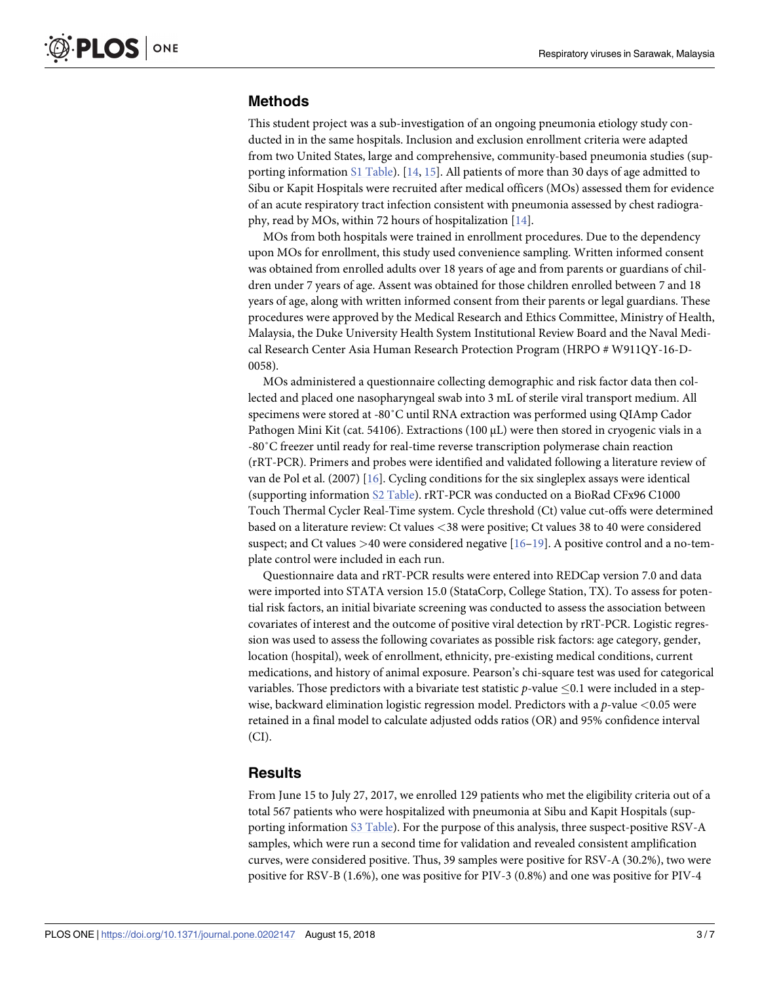#### <span id="page-2-0"></span>**Methods**

This student project was a sub-investigation of an ongoing pneumonia etiology study conducted in in the same hospitals. Inclusion and exclusion enrollment criteria were adapted from two United States, large and comprehensive, community-based pneumonia studies (supporting information S1 [Table\)](#page-4-0). [[14](#page-6-0), [15](#page-6-0)]. All patients of more than 30 days of age admitted to Sibu or Kapit Hospitals were recruited after medical officers (MOs) assessed them for evidence of an acute respiratory tract infection consistent with pneumonia assessed by chest radiography, read by MOs, within 72 hours of hospitalization [\[14\]](#page-6-0).

MOs from both hospitals were trained in enrollment procedures. Due to the dependency upon MOs for enrollment, this study used convenience sampling. Written informed consent was obtained from enrolled adults over 18 years of age and from parents or guardians of children under 7 years of age. Assent was obtained for those children enrolled between 7 and 18 years of age, along with written informed consent from their parents or legal guardians. These procedures were approved by the Medical Research and Ethics Committee, Ministry of Health, Malaysia, the Duke University Health System Institutional Review Board and the Naval Medical Research Center Asia Human Research Protection Program (HRPO # W911QY-16-D-0058).

MOs administered a questionnaire collecting demographic and risk factor data then collected and placed one nasopharyngeal swab into 3 mL of sterile viral transport medium. All specimens were stored at -80˚C until RNA extraction was performed using QIAmp Cador Pathogen Mini Kit (cat. 54106). Extractions (100 μL) were then stored in cryogenic vials in a -80˚C freezer until ready for real-time reverse transcription polymerase chain reaction (rRT-PCR). Primers and probes were identified and validated following a literature review of van de Pol et al. (2007)  $[16]$  $[16]$  $[16]$ . Cycling conditions for the six singleplex assays were identical (supporting information S2 [Table](#page-4-0)). rRT-PCR was conducted on a BioRad CFx96 C1000 Touch Thermal Cycler Real-Time system. Cycle threshold (Ct) value cut-offs were determined based on a literature review: Ct values *<*38 were positive; Ct values 38 to 40 were considered suspect; and Ct values *>*40 were considered negative [\[16–19](#page-6-0)]. A positive control and a no-template control were included in each run.

Questionnaire data and rRT-PCR results were entered into REDCap version 7.0 and data were imported into STATA version 15.0 (StataCorp, College Station, TX). To assess for potential risk factors, an initial bivariate screening was conducted to assess the association between covariates of interest and the outcome of positive viral detection by rRT-PCR. Logistic regression was used to assess the following covariates as possible risk factors: age category, gender, location (hospital), week of enrollment, ethnicity, pre-existing medical conditions, current medications, and history of animal exposure. Pearson's chi-square test was used for categorical variables. Those predictors with a bivariate test statistic  $p$ -value  $\leq 0.1$  were included in a stepwise, backward elimination logistic regression model. Predictors with a *p*-value *<*0.05 were retained in a final model to calculate adjusted odds ratios (OR) and 95% confidence interval (CI).

#### **Results**

From June 15 to July 27, 2017, we enrolled 129 patients who met the eligibility criteria out of a total 567 patients who were hospitalized with pneumonia at Sibu and Kapit Hospitals (supporting information S3 [Table\)](#page-4-0). For the purpose of this analysis, three suspect-positive RSV-A samples, which were run a second time for validation and revealed consistent amplification curves, were considered positive. Thus, 39 samples were positive for RSV-A (30.2%), two were positive for RSV-B (1.6%), one was positive for PIV-3 (0.8%) and one was positive for PIV-4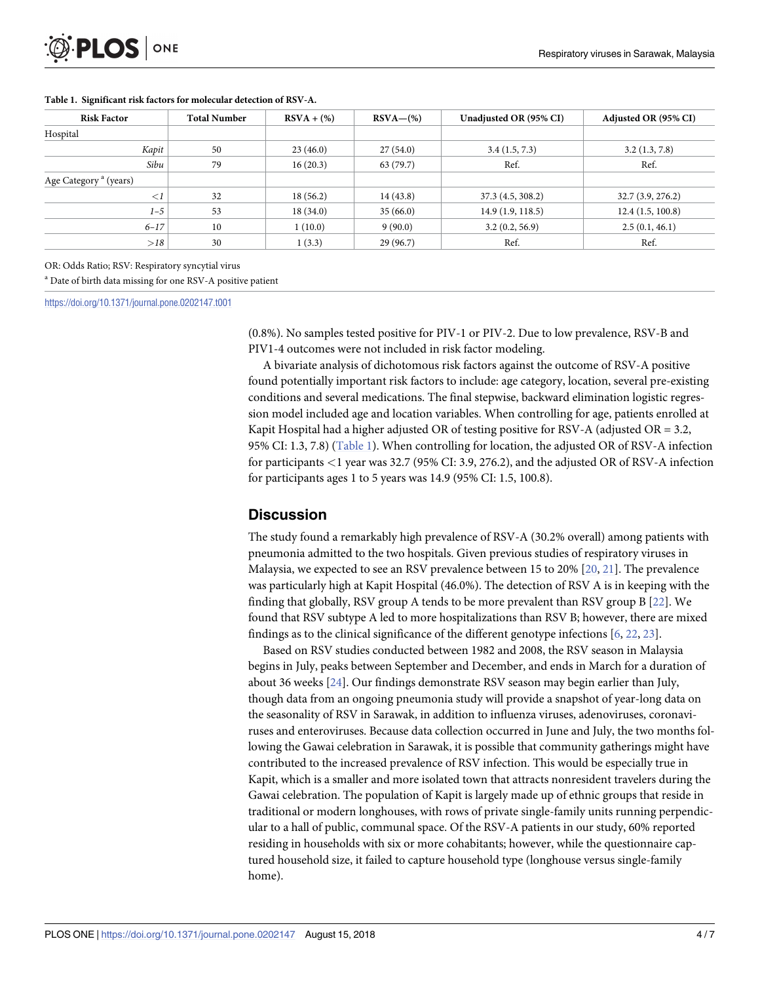| <b>Risk Factor</b>                | <b>Total Number</b> | $RSVA + (\%)$ | $RSVA-(\%)$ | Unadjusted OR (95% CI) | Adjusted OR (95% CI) |
|-----------------------------------|---------------------|---------------|-------------|------------------------|----------------------|
| Hospital                          |                     |               |             |                        |                      |
| Kapit                             | 50                  | 23(46.0)      | 27(54.0)    | 3.4(1.5, 7.3)          | 3.2(1.3, 7.8)        |
| Sibu                              | 79                  | 16(20.3)      | 63 (79.7)   | Ref.                   | Ref.                 |
| Age Category <sup>a</sup> (years) |                     |               |             |                        |                      |
| $\lt l$                           | 32                  | 18(56.2)      | 14(43.8)    | 37.3 (4.5, 308.2)      | 32.7(3.9, 276.2)     |
| $1 - 5$                           | 53                  | 18(34.0)      | 35(66.0)    | 14.9(1.9, 118.5)       | 12.4(1.5, 100.8)     |
| $6 - 17$                          | 10                  | 1(10.0)       | 9(90.0)     | 3.2(0.2, 56.9)         | 2.5(0.1, 46.1)       |
| >18                               | 30                  | 1(3.3)        | 29(96.7)    | Ref.                   | Ref.                 |

#### <span id="page-3-0"></span>**Table 1. Significant risk factors for molecular detection of RSV-A.**

OR: Odds Ratio; RSV: Respiratory syncytial virus

<sup>a</sup> Date of birth data missing for one RSV-A positive patient

<https://doi.org/10.1371/journal.pone.0202147.t001>

(0.8%). No samples tested positive for PIV-1 or PIV-2. Due to low prevalence, RSV-B and PIV1-4 outcomes were not included in risk factor modeling.

A bivariate analysis of dichotomous risk factors against the outcome of RSV-A positive found potentially important risk factors to include: age category, location, several pre-existing conditions and several medications. The final stepwise, backward elimination logistic regression model included age and location variables. When controlling for age, patients enrolled at Kapit Hospital had a higher adjusted OR of testing positive for RSV-A (adjusted OR =  $3.2$ , 95% CI: 1.3, 7.8) (Table 1). When controlling for location, the adjusted OR of RSV-A infection for participants *<*1 year was 32.7 (95% CI: 3.9, 276.2), and the adjusted OR of RSV-A infection for participants ages 1 to 5 years was 14.9 (95% CI: 1.5, 100.8).

#### **Discussion**

The study found a remarkably high prevalence of RSV-A (30.2% overall) among patients with pneumonia admitted to the two hospitals. Given previous studies of respiratory viruses in Malaysia, we expected to see an RSV prevalence between 15 to 20% [[20](#page-6-0), [21](#page-6-0)]. The prevalence was particularly high at Kapit Hospital (46.0%). The detection of RSV A is in keeping with the finding that globally, RSV group A tends to be more prevalent than RSV group B [\[22\]](#page-6-0). We found that RSV subtype A led to more hospitalizations than RSV B; however, there are mixed findings as to the clinical significance of the different genotype infections [\[6,](#page-5-0) [22,](#page-6-0) [23\]](#page-6-0).

Based on RSV studies conducted between 1982 and 2008, the RSV season in Malaysia begins in July, peaks between September and December, and ends in March for a duration of about 36 weeks [\[24\]](#page-6-0). Our findings demonstrate RSV season may begin earlier than July, though data from an ongoing pneumonia study will provide a snapshot of year-long data on the seasonality of RSV in Sarawak, in addition to influenza viruses, adenoviruses, coronaviruses and enteroviruses. Because data collection occurred in June and July, the two months following the Gawai celebration in Sarawak, it is possible that community gatherings might have contributed to the increased prevalence of RSV infection. This would be especially true in Kapit, which is a smaller and more isolated town that attracts nonresident travelers during the Gawai celebration. The population of Kapit is largely made up of ethnic groups that reside in traditional or modern longhouses, with rows of private single-family units running perpendicular to a hall of public, communal space. Of the RSV-A patients in our study, 60% reported residing in households with six or more cohabitants; however, while the questionnaire captured household size, it failed to capture household type (longhouse versus single-family home).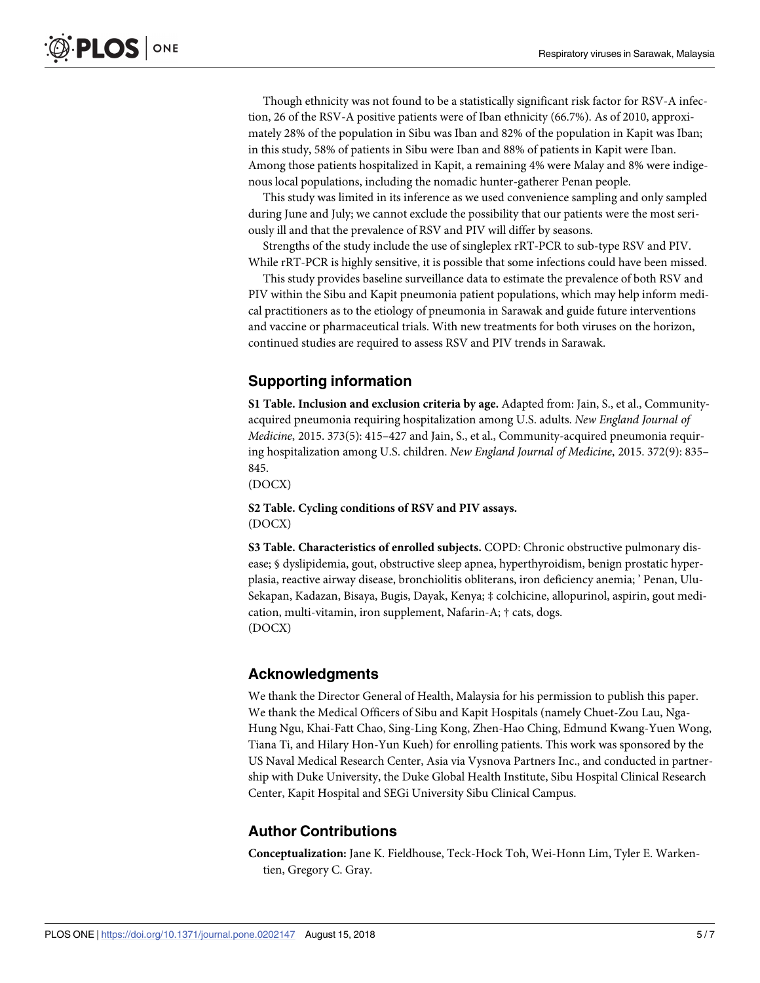<span id="page-4-0"></span>Though ethnicity was not found to be a statistically significant risk factor for RSV-A infection, 26 of the RSV-A positive patients were of Iban ethnicity (66.7%). As of 2010, approximately 28% of the population in Sibu was Iban and 82% of the population in Kapit was Iban; in this study, 58% of patients in Sibu were Iban and 88% of patients in Kapit were Iban. Among those patients hospitalized in Kapit, a remaining 4% were Malay and 8% were indigenous local populations, including the nomadic hunter-gatherer Penan people.

This study was limited in its inference as we used convenience sampling and only sampled during June and July; we cannot exclude the possibility that our patients were the most seriously ill and that the prevalence of RSV and PIV will differ by seasons.

Strengths of the study include the use of singleplex rRT-PCR to sub-type RSV and PIV. While rRT-PCR is highly sensitive, it is possible that some infections could have been missed.

This study provides baseline surveillance data to estimate the prevalence of both RSV and PIV within the Sibu and Kapit pneumonia patient populations, which may help inform medical practitioners as to the etiology of pneumonia in Sarawak and guide future interventions and vaccine or pharmaceutical trials. With new treatments for both viruses on the horizon, continued studies are required to assess RSV and PIV trends in Sarawak.

#### **Supporting information**

**S1 [Table.](http://www.plosone.org/article/fetchSingleRepresentation.action?uri=info:doi/10.1371/journal.pone.0202147.s001) Inclusion and exclusion criteria by age.** Adapted from: Jain, S., et al., Communityacquired pneumonia requiring hospitalization among U.S. adults. *New England Journal of Medicine*, 2015. 373(5): 415–427 and Jain, S., et al., Community-acquired pneumonia requiring hospitalization among U.S. children. *New England Journal of Medicine*, 2015. 372(9): 835– 845.

(DOCX)

**S2 [Table.](http://www.plosone.org/article/fetchSingleRepresentation.action?uri=info:doi/10.1371/journal.pone.0202147.s002) Cycling conditions of RSV and PIV assays.** (DOCX)

**S3 [Table.](http://www.plosone.org/article/fetchSingleRepresentation.action?uri=info:doi/10.1371/journal.pone.0202147.s003) Characteristics of enrolled subjects.** COPD: Chronic obstructive pulmonary disease; § dyslipidemia, gout, obstructive sleep apnea, hyperthyroidism, benign prostatic hyperplasia, reactive airway disease, bronchiolitis obliterans, iron deficiency anemia; ' Penan, Ulu-Sekapan, Kadazan, Bisaya, Bugis, Dayak, Kenya; ‡ colchicine, allopurinol, aspirin, gout medication, multi-vitamin, iron supplement, Nafarin-A; † cats, dogs. (DOCX)

#### **Acknowledgments**

We thank the Director General of Health, Malaysia for his permission to publish this paper. We thank the Medical Officers of Sibu and Kapit Hospitals (namely Chuet-Zou Lau, Nga-Hung Ngu, Khai-Fatt Chao, Sing-Ling Kong, Zhen-Hao Ching, Edmund Kwang-Yuen Wong, Tiana Ti, and Hilary Hon-Yun Kueh) for enrolling patients. This work was sponsored by the US Naval Medical Research Center, Asia via Vysnova Partners Inc., and conducted in partnership with Duke University, the Duke Global Health Institute, Sibu Hospital Clinical Research Center, Kapit Hospital and SEGi University Sibu Clinical Campus.

#### **Author Contributions**

**Conceptualization:** Jane K. Fieldhouse, Teck-Hock Toh, Wei-Honn Lim, Tyler E. Warkentien, Gregory C. Gray.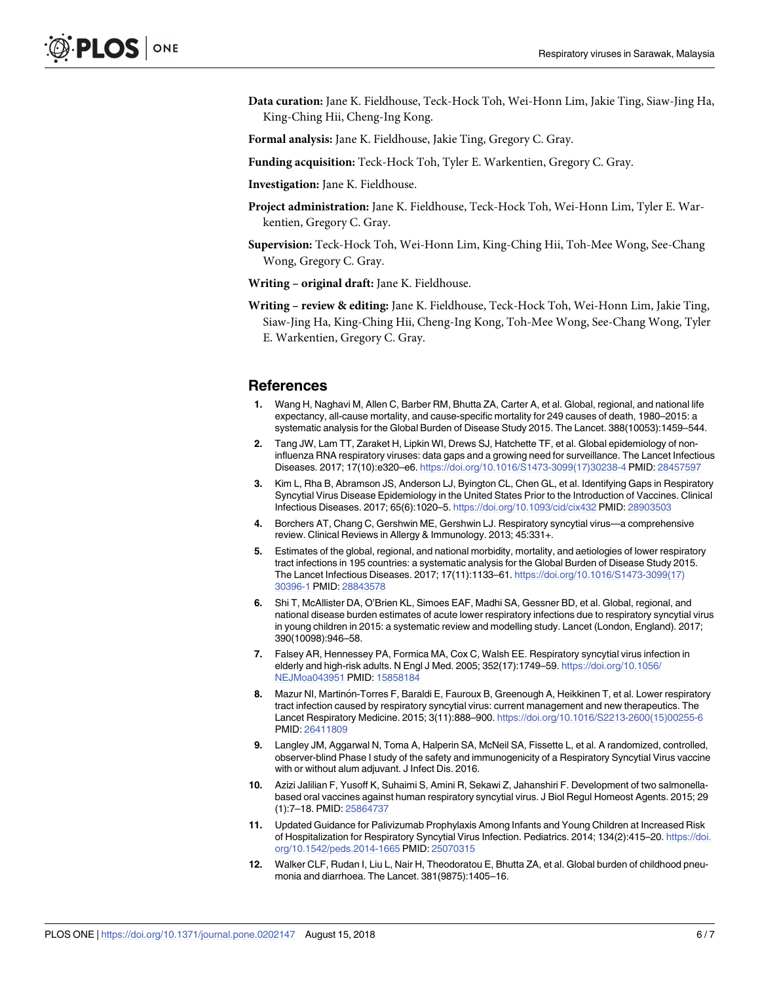<span id="page-5-0"></span>**Data curation:** Jane K. Fieldhouse, Teck-Hock Toh, Wei-Honn Lim, Jakie Ting, Siaw-Jing Ha, King-Ching Hii, Cheng-Ing Kong.

**Formal analysis:** Jane K. Fieldhouse, Jakie Ting, Gregory C. Gray.

- **Funding acquisition:** Teck-Hock Toh, Tyler E. Warkentien, Gregory C. Gray.
- **Investigation:** Jane K. Fieldhouse.
- **Project administration:** Jane K. Fieldhouse, Teck-Hock Toh, Wei-Honn Lim, Tyler E. Warkentien, Gregory C. Gray.
- **Supervision:** Teck-Hock Toh, Wei-Honn Lim, King-Ching Hii, Toh-Mee Wong, See-Chang Wong, Gregory C. Gray.
- **Writing – original draft:** Jane K. Fieldhouse.
- **Writing – review & editing:** Jane K. Fieldhouse, Teck-Hock Toh, Wei-Honn Lim, Jakie Ting, Siaw-Jing Ha, King-Ching Hii, Cheng-Ing Kong, Toh-Mee Wong, See-Chang Wong, Tyler E. Warkentien, Gregory C. Gray.

#### **References**

- **[1](#page-1-0).** Wang H, Naghavi M, Allen C, Barber RM, Bhutta ZA, Carter A, et al. Global, regional, and national life expectancy, all-cause mortality, and cause-specific mortality for 249 causes of death, 1980–2015: a systematic analysis for the Global Burden of Disease Study 2015. The Lancet. 388(10053):1459–544.
- **[2](#page-1-0).** Tang JW, Lam TT, Zaraket H, Lipkin WI, Drews SJ, Hatchette TF, et al. Global epidemiology of noninfluenza RNA respiratory viruses: data gaps and a growing need for surveillance. The Lancet Infectious Diseases. 2017; 17(10):e320–e6. [https://doi.org/10.1016/S1473-3099\(17\)30238-4](https://doi.org/10.1016/S1473-3099(17)30238-4) PMID: [28457597](http://www.ncbi.nlm.nih.gov/pubmed/28457597)
- **[3](#page-1-0).** Kim L, Rha B, Abramson JS, Anderson LJ, Byington CL, Chen GL, et al. Identifying Gaps in Respiratory Syncytial Virus Disease Epidemiology in the United States Prior to the Introduction of Vaccines. Clinical Infectious Diseases. 2017; 65(6):1020–5. <https://doi.org/10.1093/cid/cix432> PMID: [28903503](http://www.ncbi.nlm.nih.gov/pubmed/28903503)
- **[4](#page-1-0).** Borchers AT, Chang C, Gershwin ME, Gershwin LJ. Respiratory syncytial virus—a comprehensive review. Clinical Reviews in Allergy & Immunology. 2013; 45:331+.
- **[5](#page-1-0).** Estimates of the global, regional, and national morbidity, mortality, and aetiologies of lower respiratory tract infections in 195 countries: a systematic analysis for the Global Burden of Disease Study 2015. The Lancet Infectious Diseases. 2017; 17(11):1133–61. [https://doi.org/10.1016/S1473-3099\(17\)](https://doi.org/10.1016/S1473-3099(17)30396-1) [30396-1](https://doi.org/10.1016/S1473-3099(17)30396-1) PMID: [28843578](http://www.ncbi.nlm.nih.gov/pubmed/28843578)
- **[6](#page-1-0).** Shi T, McAllister DA, O'Brien KL, Simoes EAF, Madhi SA, Gessner BD, et al. Global, regional, and national disease burden estimates of acute lower respiratory infections due to respiratory syncytial virus in young children in 2015: a systematic review and modelling study. Lancet (London, England). 2017; 390(10098):946–58.
- **[7](#page-1-0).** Falsey AR, Hennessey PA, Formica MA, Cox C, Walsh EE. Respiratory syncytial virus infection in elderly and high-risk adults. N Engl J Med. 2005; 352(17):1749–59. [https://doi.org/10.1056/](https://doi.org/10.1056/NEJMoa043951) [NEJMoa043951](https://doi.org/10.1056/NEJMoa043951) PMID: [15858184](http://www.ncbi.nlm.nih.gov/pubmed/15858184)
- **[8](#page-1-0).** Mazur NI, Martinón-Torres F, Baraldi E, Fauroux B, Greenough A, Heikkinen T, et al. Lower respiratory tract infection caused by respiratory syncytial virus: current management and new therapeutics. The Lancet Respiratory Medicine. 2015; 3(11):888–900. [https://doi.org/10.1016/S2213-2600\(15\)00255-6](https://doi.org/10.1016/S2213-2600(15)00255-6) PMID: [26411809](http://www.ncbi.nlm.nih.gov/pubmed/26411809)
- **9.** Langley JM, Aggarwal N, Toma A, Halperin SA, McNeil SA, Fissette L, et al. A randomized, controlled, observer-blind Phase I study of the safety and immunogenicity of a Respiratory Syncytial Virus vaccine with or without alum adjuvant. J Infect Dis. 2016.
- **[10](#page-1-0).** Azizi Jalilian F, Yusoff K, Suhaimi S, Amini R, Sekawi Z, Jahanshiri F. Development of two salmonellabased oral vaccines against human respiratory syncytial virus. J Biol Regul Homeost Agents. 2015; 29 (1):7–18. PMID: [25864737](http://www.ncbi.nlm.nih.gov/pubmed/25864737)
- **[11](#page-1-0).** Updated Guidance for Palivizumab Prophylaxis Among Infants and Young Children at Increased Risk of Hospitalization for Respiratory Syncytial Virus Infection. Pediatrics. 2014; 134(2):415–20. [https://doi.](https://doi.org/10.1542/peds.2014-1665) [org/10.1542/peds.2014-1665](https://doi.org/10.1542/peds.2014-1665) PMID: [25070315](http://www.ncbi.nlm.nih.gov/pubmed/25070315)
- **[12](#page-1-0).** Walker CLF, Rudan I, Liu L, Nair H, Theodoratou E, Bhutta ZA, et al. Global burden of childhood pneumonia and diarrhoea. The Lancet. 381(9875):1405–16.